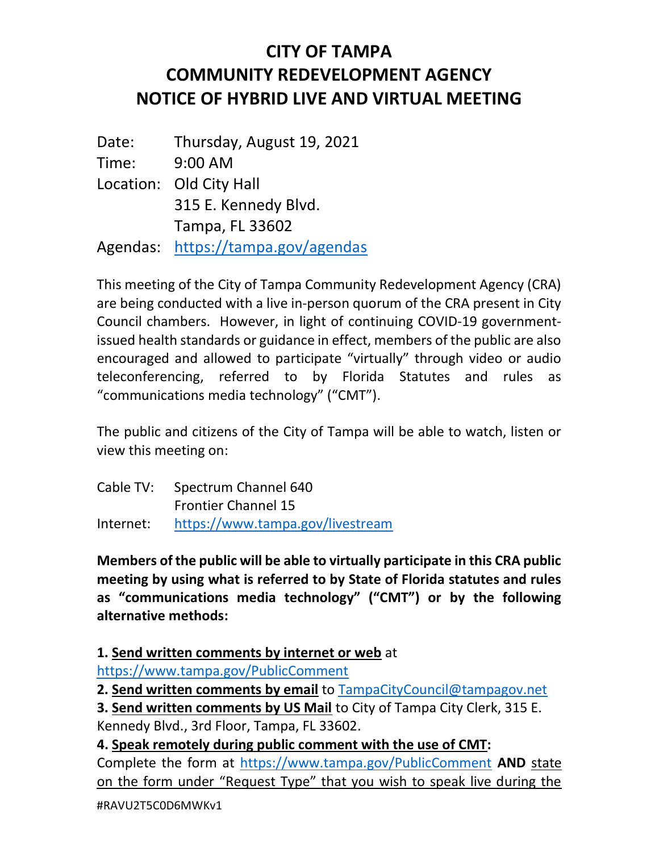## CITY OF TAMPA COMMUNITY REDEVELOPMENT AGENCY NOTICE OF HYBRID LIVE AND VIRTUAL MEETING

 Date: Time: Location: Old City Hall Tampa, FL 33602 Thursday, August 19, 2021 9:00 AM Agendas: https://tampa.gov/agendas 315 E. Kennedy Blvd.

 This meeting of the City of Tampa Community Redevelopment Agency (CRA) are being conducted with a live in-person quorum of the CRA present in City Council chambers. However, in light of continuing COVID-19 government- issued health standards or guidance in effect, members of the public are also encouraged and allowed to participate "virtually" through video or audio teleconferencing, referred to by Florida Statutes and rules as "communications media technology" ("CMT").

 The public and citizens of the City of Tampa will be able to watch, listen or view this meeting on:

|           | Cable TV: Spectrum Channel 640   |
|-----------|----------------------------------|
|           | <b>Frontier Channel 15</b>       |
| Internet: | https://www.tampa.gov/livestream |

 Members of the public will be able to virtually participate in this CRA public meeting by using what is referred to by State of Florida statutes and rules as "communications media technology" ("CMT") or by the following alternative methods:

1. Send written comments by internet or web at

https://www.tampa.gov/PublicComment

2. Send written comments by email to **TampaCityCouncil@tampagov.net** 

3. Send written comments by US Mail to City of Tampa City Clerk, 315 E. Kennedy Blvd., 3rd Floor, Tampa, FL 33602.

4. Speak remotely during public comment with the use of CMT:

Complete the form at https://www.tampa.gov/PublicComment AND state on the form under "Request Type" that you wish to speak live during the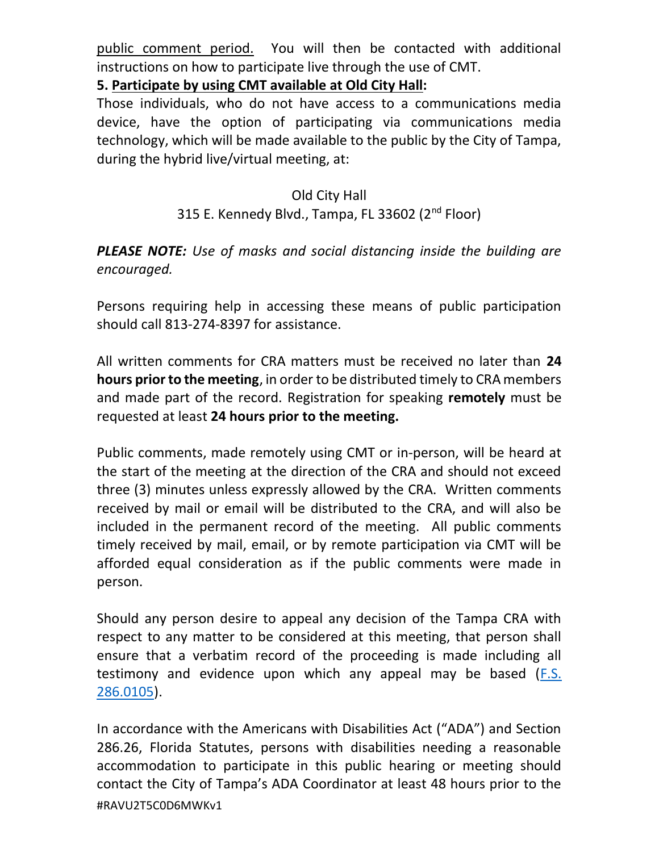public comment period. You will then be contacted with additional instructions on how to participate live through the use of CMT.

5. Participate by using CMT available at Old City Hall:

 Those individuals, who do not have access to a communications media device, have the option of participating via communications media technology, which will be made available to the public by the City of Tampa, during the hybrid live/virtual meeting, at:

## Old City Hall

## 315 E. Kennedy Blvd., Tampa, FL 33602 (2<sup>nd</sup> Floor)

## PLEASE NOTE: Use of masks and social distancing inside the building are encouraged.

 Persons requiring help in accessing these means of public participation should call 813-274-8397 for assistance.

All written comments for CRA matters must be received no later than 24 hours prior to the meeting, in order to be distributed timely to CRA members and made part of the record. Registration for speaking remotely must be requested at least 24 hours prior to the meeting.

 Public comments, made remotely using CMT or in-person, will be heard at the start of the meeting at the direction of the CRA and should not exceed three (3) minutes unless expressly allowed by the CRA. Written comments received by mail or email will be distributed to the CRA, and will also be included in the permanent record of the meeting. All public comments timely received by mail, email, or by remote participation via CMT will be afforded equal consideration as if the public comments were made in person.

 Should any person desire to appeal any decision of the Tampa CRA with respect to any matter to be considered at this meeting, that person shall ensure that a verbatim record of the proceeding is made including all testimony and evidence upon which any appeal may be based (F.S. 286.0105).

 In accordance with the Americans with Disabilities Act ("ADA") and Section 286.26, Florida Statutes, persons with disabilities needing a reasonable accommodation to participate in this public hearing or meeting should contact the City of Tampa's ADA Coordinator at least 48 hours prior to the #RAVU2T5C0D6MWKv1